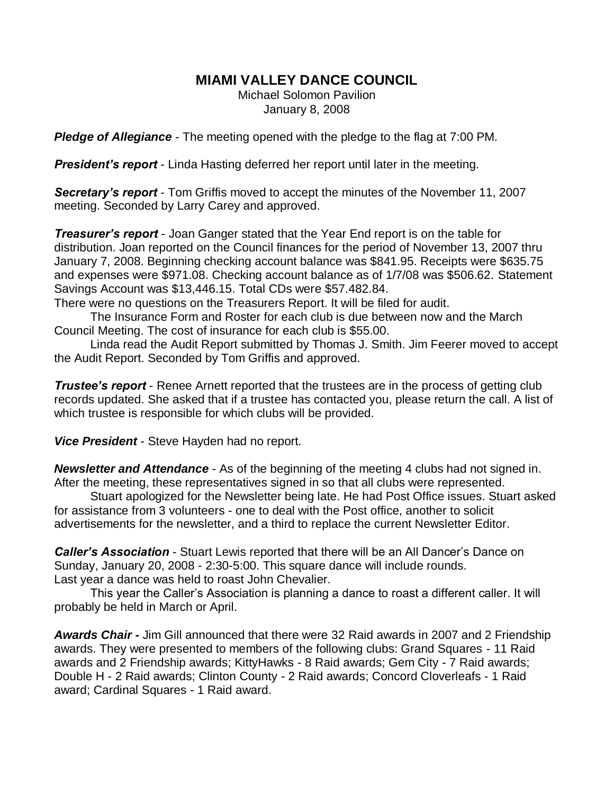## **MIAMI VALLEY DANCE COUNCIL**

Michael Solomon Pavilion January 8, 2008

*Pledge of Allegiance* - The meeting opened with the pledge to the flag at 7:00 PM.

*President's report* - Linda Hasting deferred her report until later in the meeting.

*Secretary's report* - Tom Griffis moved to accept the minutes of the November 11, 2007 meeting. Seconded by Larry Carey and approved.

*Treasurer's report* - Joan Ganger stated that the Year End report is on the table for distribution. Joan reported on the Council finances for the period of November 13, 2007 thru January 7, 2008. Beginning checking account balance was \$841.95. Receipts were \$635.75 and expenses were \$971.08. Checking account balance as of 1/7/08 was \$506.62. Statement Savings Account was \$13,446.15. Total CDs were \$57.482.84.

There were no questions on the Treasurers Report. It will be filed for audit.

The Insurance Form and Roster for each club is due between now and the March Council Meeting. The cost of insurance for each club is \$55.00.

Linda read the Audit Report submitted by Thomas J. Smith. Jim Feerer moved to accept the Audit Report. Seconded by Tom Griffis and approved.

*Trustee's report* - Renee Arnett reported that the trustees are in the process of getting club records updated. She asked that if a trustee has contacted you, please return the call. A list of which trustee is responsible for which clubs will be provided.

*Vice President* - Steve Hayden had no report.

*Newsletter and Attendance* - As of the beginning of the meeting 4 clubs had not signed in. After the meeting, these representatives signed in so that all clubs were represented.

Stuart apologized for the Newsletter being late. He had Post Office issues. Stuart asked for assistance from 3 volunteers - one to deal with the Post office, another to solicit advertisements for the newsletter, and a third to replace the current Newsletter Editor.

**Caller's Association** - Stuart Lewis reported that there will be an All Dancer's Dance on Sunday, January 20, 2008 - 2:30-5:00. This square dance will include rounds. Last year a dance was held to roast John Chevalier.

This year the Caller's Association is planning a dance to roast a different caller. It will probably be held in March or April.

*Awards Chair -* Jim Gill announced that there were 32 Raid awards in 2007 and 2 Friendship awards. They were presented to members of the following clubs: Grand Squares - 11 Raid awards and 2 Friendship awards; KittyHawks - 8 Raid awards; Gem City - 7 Raid awards; Double H - 2 Raid awards; Clinton County - 2 Raid awards; Concord Cloverleafs - 1 Raid award; Cardinal Squares - 1 Raid award.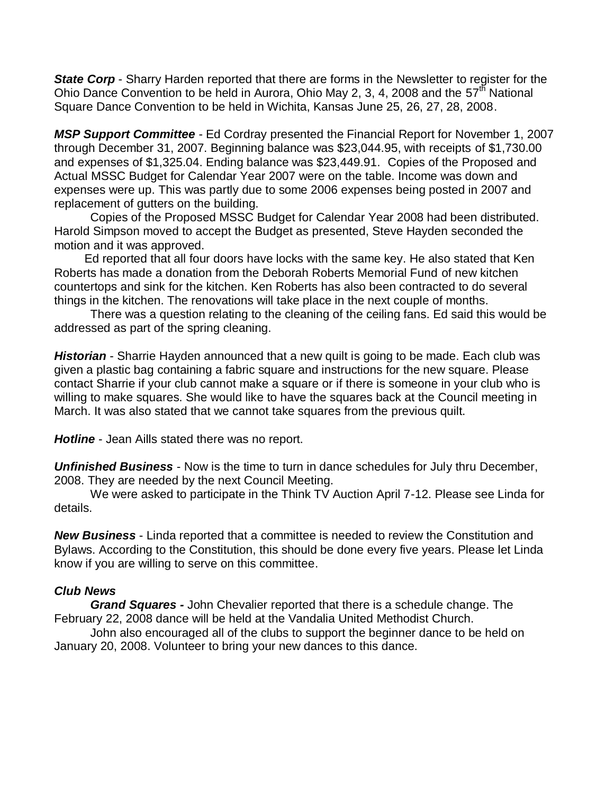**State Corp** - Sharry Harden reported that there are forms in the Newsletter to register for the Ohio Dance Convention to be held in Aurora, Ohio May 2, 3, 4, 2008 and the  $57<sup>th</sup>$  National Square Dance Convention to be held in Wichita, Kansas June 25, 26, 27, 28, 2008.

*MSP Support Committee* - Ed Cordray presented the Financial Report for November 1, 2007 through December 31, 2007. Beginning balance was \$23,044.95, with receipts of \$1,730.00 and expenses of \$1,325.04. Ending balance was \$23,449.91. Copies of the Proposed and Actual MSSC Budget for Calendar Year 2007 were on the table. Income was down and expenses were up. This was partly due to some 2006 expenses being posted in 2007 and replacement of gutters on the building.

Copies of the Proposed MSSC Budget for Calendar Year 2008 had been distributed. Harold Simpson moved to accept the Budget as presented, Steve Hayden seconded the motion and it was approved.

 Ed reported that all four doors have locks with the same key. He also stated that Ken Roberts has made a donation from the Deborah Roberts Memorial Fund of new kitchen countertops and sink for the kitchen. Ken Roberts has also been contracted to do several things in the kitchen. The renovations will take place in the next couple of months.

There was a question relating to the cleaning of the ceiling fans. Ed said this would be addressed as part of the spring cleaning.

*Historian* - Sharrie Hayden announced that a new quilt is going to be made. Each club was given a plastic bag containing a fabric square and instructions for the new square. Please contact Sharrie if your club cannot make a square or if there is someone in your club who is willing to make squares. She would like to have the squares back at the Council meeting in March. It was also stated that we cannot take squares from the previous quilt.

*Hotline* - Jean Aills stated there was no report.

*Unfinished Business* - Now is the time to turn in dance schedules for July thru December, 2008. They are needed by the next Council Meeting.

We were asked to participate in the Think TV Auction April 7-12. Please see Linda for details.

*New Business* - Linda reported that a committee is needed to review the Constitution and Bylaws. According to the Constitution, this should be done every five years. Please let Linda know if you are willing to serve on this committee.

## *Club News*

*Grand Squares -* John Chevalier reported that there is a schedule change. The February 22, 2008 dance will be held at the Vandalia United Methodist Church.

John also encouraged all of the clubs to support the beginner dance to be held on January 20, 2008. Volunteer to bring your new dances to this dance.